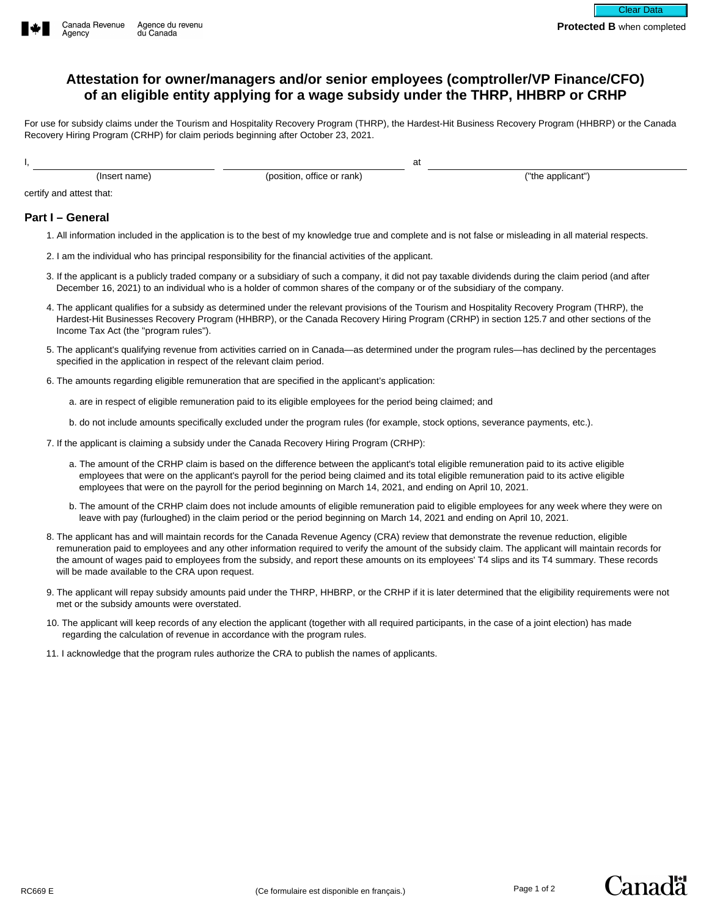## **Attestation for owner/managers and/or senior employees (comptroller/VP Finance/CFO) of an eligible entity applying for a wage subsidy under the THRP, HHBRP or CRHP**

For use for subsidy claims under the Tourism and Hospitality Recovery Program (THRP), the Hardest-Hit Business Recovery Program (HHBRP) or the Canada Recovery Hiring Program (CRHP) for claim periods beginning after October 23, 2021.

at

I,

(Insert name) (position, office or rank)

("the applicant")

certify and attest that:

## **Part I – General**

- 1. All information included in the application is to the best of my knowledge true and complete and is not false or misleading in all material respects.
- 2. I am the individual who has principal responsibility for the financial activities of the applicant.
- 3. If the applicant is a publicly traded company or a subsidiary of such a company, it did not pay taxable dividends during the claim period (and after December 16, 2021) to an individual who is a holder of common shares of the company or of the subsidiary of the company.
- 4. The applicant qualifies for a subsidy as determined under the relevant provisions of the Tourism and Hospitality Recovery Program (THRP), the Hardest-Hit Businesses Recovery Program (HHBRP), or the Canada Recovery Hiring Program (CRHP) in section 125.7 and other sections of the Income Tax Act (the "program rules").
- 5. The applicant's qualifying revenue from activities carried on in Canada—as determined under the program rules—has declined by the percentages specified in the application in respect of the relevant claim period.
- 6. The amounts regarding eligible remuneration that are specified in the applicant's application:

a. are in respect of eligible remuneration paid to its eligible employees for the period being claimed; and

b. do not include amounts specifically excluded under the program rules (for example, stock options, severance payments, etc.).

- 7. If the applicant is claiming a subsidy under the Canada Recovery Hiring Program (CRHP):
	- a. The amount of the CRHP claim is based on the difference between the applicant's total eligible remuneration paid to its active eligible employees that were on the applicant's payroll for the period being claimed and its total eligible remuneration paid to its active eligible employees that were on the payroll for the period beginning on March 14, 2021, and ending on April 10, 2021.
	- b. The amount of the CRHP claim does not include amounts of eligible remuneration paid to eligible employees for any week where they were on leave with pay (furloughed) in the claim period or the period beginning on March 14, 2021 and ending on April 10, 2021.
- 8. The applicant has and will maintain records for the Canada Revenue Agency (CRA) review that demonstrate the revenue reduction, eligible remuneration paid to employees and any other information required to verify the amount of the subsidy claim. The applicant will maintain records for the amount of wages paid to employees from the subsidy, and report these amounts on its employees' T4 slips and its T4 summary. These records will be made available to the CRA upon request.
- 9. The applicant will repay subsidy amounts paid under the THRP, HHBRP, or the CRHP if it is later determined that the eligibility requirements were not met or the subsidy amounts were overstated.
- 10. The applicant will keep records of any election the applicant (together with all required participants, in the case of a joint election) has made regarding the calculation of revenue in accordance with the program rules.
- 11. I acknowledge that the program rules authorize the CRA to publish the names of applicants.